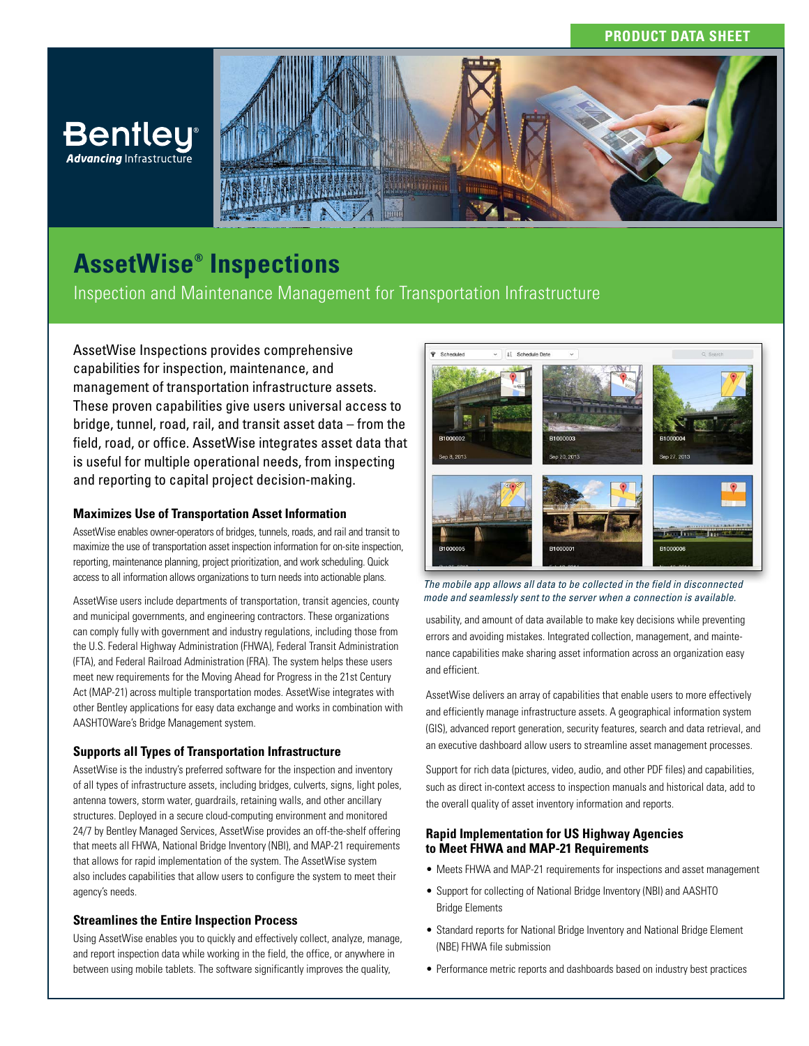



# **AssetWise® Inspections**

Inspection and Maintenance Management for Transportation Infrastructure

AssetWise Inspections provides comprehensive capabilities for inspection, maintenance, and management of transportation infrastructure assets. These proven capabilities give users universal access to bridge, tunnel, road, rail, and transit asset data – from the field, road, or office. AssetWise integrates asset data that is useful for multiple operational needs, from inspecting and reporting to capital project decision-making.

#### **Maximizes Use of Transportation Asset Information**

AssetWise enables owner-operators of bridges, tunnels, roads, and rail and transit to maximize the use of transportation asset inspection information for on-site inspection, reporting, maintenance planning, project prioritization, and work scheduling. Quick access to all information allows organizations to turn needs into actionable plans.

AssetWise users include departments of transportation, transit agencies, county and municipal governments, and engineering contractors. These organizations can comply fully with government and industry regulations, including those from the U.S. Federal Highway Administration (FHWA), Federal Transit Administration (FTA), and Federal Railroad Administration (FRA). The system helps these users meet new requirements for the Moving Ahead for Progress in the 21st Century Act (MAP-21) across multiple transportation modes. AssetWise integrates with other Bentley applications for easy data exchange and works in combination with AASHTOWare's Bridge Management system.

#### **Supports all Types of Transportation Infrastructure**

AssetWise is the industry's preferred software for the inspection and inventory of all types of infrastructure assets, including bridges, culverts, signs, light poles, antenna towers, storm water, guardrails, retaining walls, and other ancillary structures. Deployed in a secure cloud-computing environment and monitored 24/7 by Bentley Managed Services, AssetWise provides an off-the-shelf offering that meets all FHWA, National Bridge Inventory (NBI), and MAP-21 requirements that allows for rapid implementation of the system. The AssetWise system also includes capabilities that allow users to configure the system to meet their agency's needs.

#### **Streamlines the Entire Inspection Process**

Using AssetWise enables you to quickly and effectively collect, analyze, manage, and report inspection data while working in the field, the office, or anywhere in between using mobile tablets. The software significantly improves the quality,



*The mobile app allows all data to be collected in the field in disconnected mode and seamlessly sent to the server when a connection is available.*

usability, and amount of data available to make key decisions while preventing errors and avoiding mistakes. Integrated collection, management, and maintenance capabilities make sharing asset information across an organization easy and efficient.

AssetWise delivers an array of capabilities that enable users to more effectively and efficiently manage infrastructure assets. A geographical information system (GIS), advanced report generation, security features, search and data retrieval, and an executive dashboard allow users to streamline asset management processes.

Support for rich data (pictures, video, audio, and other PDF files) and capabilities, such as direct in-context access to inspection manuals and historical data, add to the overall quality of asset inventory information and reports.

#### **Rapid Implementation for US Highway Agencies to Meet FHWA and MAP-21 Requirements**

- Meets FHWA and MAP-21 requirements for inspections and asset management
- Support for collecting of National Bridge Inventory (NBI) and AASHTO Bridge Elements
- Standard reports for National Bridge Inventory and National Bridge Element (NBE) FHWA file submission
- Performance metric reports and dashboards based on industry best practices